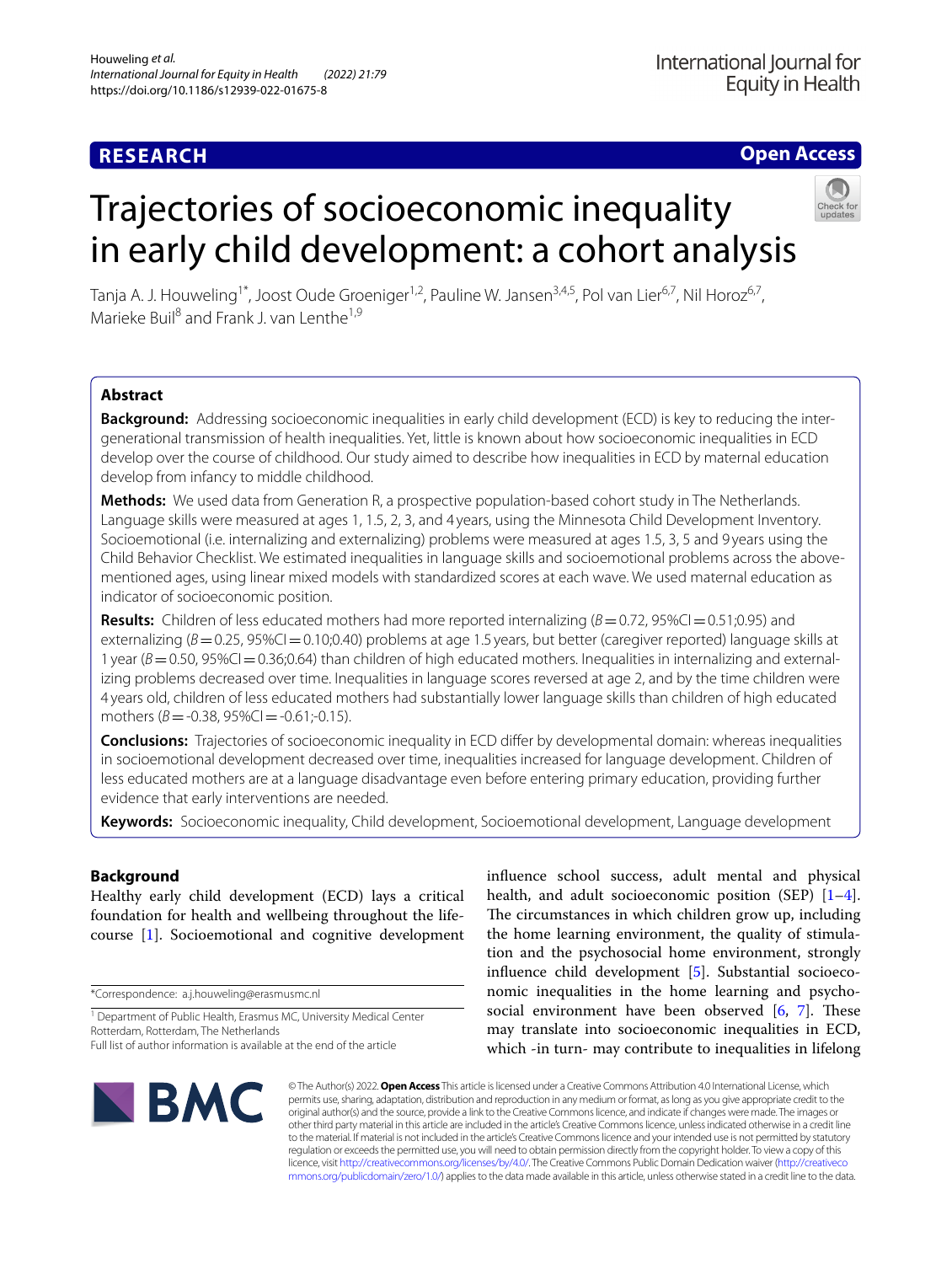## **RESEARCH**

### **Open Access**

### Tanja A. J. Houweling<sup>1\*</sup>, Joost Oude Groeniger<sup>1,2</sup>, Pauline W. Jansen<sup>3,4,5</sup>, Pol van Lier<sup>6,7</sup>, Nil Horoz<sup>6,7</sup>, Marieke Buil<sup>8</sup> and Frank Lyan Lenthe<sup>1,9</sup>

in early child development: a cohort analysis

Trajectories of socioeconomic inequality

### **Abstract**

**Background:** Addressing socioeconomic inequalities in early child development (ECD) is key to reducing the intergenerational transmission of health inequalities. Yet, little is known about how socioeconomic inequalities in ECD develop over the course of childhood. Our study aimed to describe how inequalities in ECD by maternal education develop from infancy to middle childhood.

**Methods:** We used data from Generation R, a prospective population-based cohort study in The Netherlands. Language skills were measured at ages 1, 1.5, 2, 3, and 4 years, using the Minnesota Child Development Inventory. Socioemotional (i.e. internalizing and externalizing) problems were measured at ages 1.5, 3, 5 and 9 years using the Child Behavior Checklist. We estimated inequalities in language skills and socioemotional problems across the abovementioned ages, using linear mixed models with standardized scores at each wave. We used maternal education as indicator of socioeconomic position.

**Results:** Children of less educated mothers had more reported internalizing  $(B=0.72, 95\%C=0.51;0.95)$  and externalizing ( $B=0.25$ , 95%CI = 0.10;0.40) problems at age 1.5 years, but better (caregiver reported) language skills at 1 year  $(B=0.50, 95\%C=0.36; 0.64)$  than children of high educated mothers. Inequalities in internalizing and externalizing problems decreased over time. Inequalities in language scores reversed at age 2, and by the time children were 4 years old, children of less educated mothers had substantially lower language skills than children of high educated mothers  $(B = -0.38, 95\%$ CI =  $-0.61; -0.15$ ).

**Conclusions:** Trajectories of socioeconomic inequality in ECD difer by developmental domain: whereas inequalities in socioemotional development decreased over time, inequalities increased for language development. Children of less educated mothers are at a language disadvantage even before entering primary education, providing further evidence that early interventions are needed.

**Keywords:** Socioeconomic inequality, Child development, Socioemotional development, Language development

### **Background**

Healthy early child development (ECD) lays a critical foundation for health and wellbeing throughout the lifecourse [\[1](#page-8-0)]. Socioemotional and cognitive development

\*Correspondence: a.j.houweling@erasmusmc.nl

infuence school success, adult mental and physical health, and adult socioeconomic position (SEP) [\[1](#page-8-0)-4]. The circumstances in which children grow up, including the home learning environment, the quality of stimulation and the psychosocial home environment, strongly infuence child development [[5\]](#page-8-2). Substantial socioeconomic inequalities in the home learning and psychosocial environment have been observed  $[6, 7]$  $[6, 7]$  $[6, 7]$  $[6, 7]$ . These may translate into socioeconomic inequalities in ECD, which -in turn- may contribute to inequalities in lifelong



© The Author(s) 2022. **Open Access** This article is licensed under a Creative Commons Attribution 4.0 International License, which permits use, sharing, adaptation, distribution and reproduction in any medium or format, as long as you give appropriate credit to the original author(s) and the source, provide a link to the Creative Commons licence, and indicate if changes were made. The images or other third party material in this article are included in the article's Creative Commons licence, unless indicated otherwise in a credit line to the material. If material is not included in the article's Creative Commons licence and your intended use is not permitted by statutory regulation or exceeds the permitted use, you will need to obtain permission directly from the copyright holder. To view a copy of this licence, visit [http://creativecommons.org/licenses/by/4.0/.](http://creativecommons.org/licenses/by/4.0/) The Creative Commons Public Domain Dedication waiver ([http://creativeco](http://creativecommons.org/publicdomain/zero/1.0/) [mmons.org/publicdomain/zero/1.0/](http://creativecommons.org/publicdomain/zero/1.0/)) applies to the data made available in this article, unless otherwise stated in a credit line to the data.

<sup>&</sup>lt;sup>1</sup> Department of Public Health, Erasmus MC, University Medical Center Rotterdam, Rotterdam, The Netherlands

Full list of author information is available at the end of the article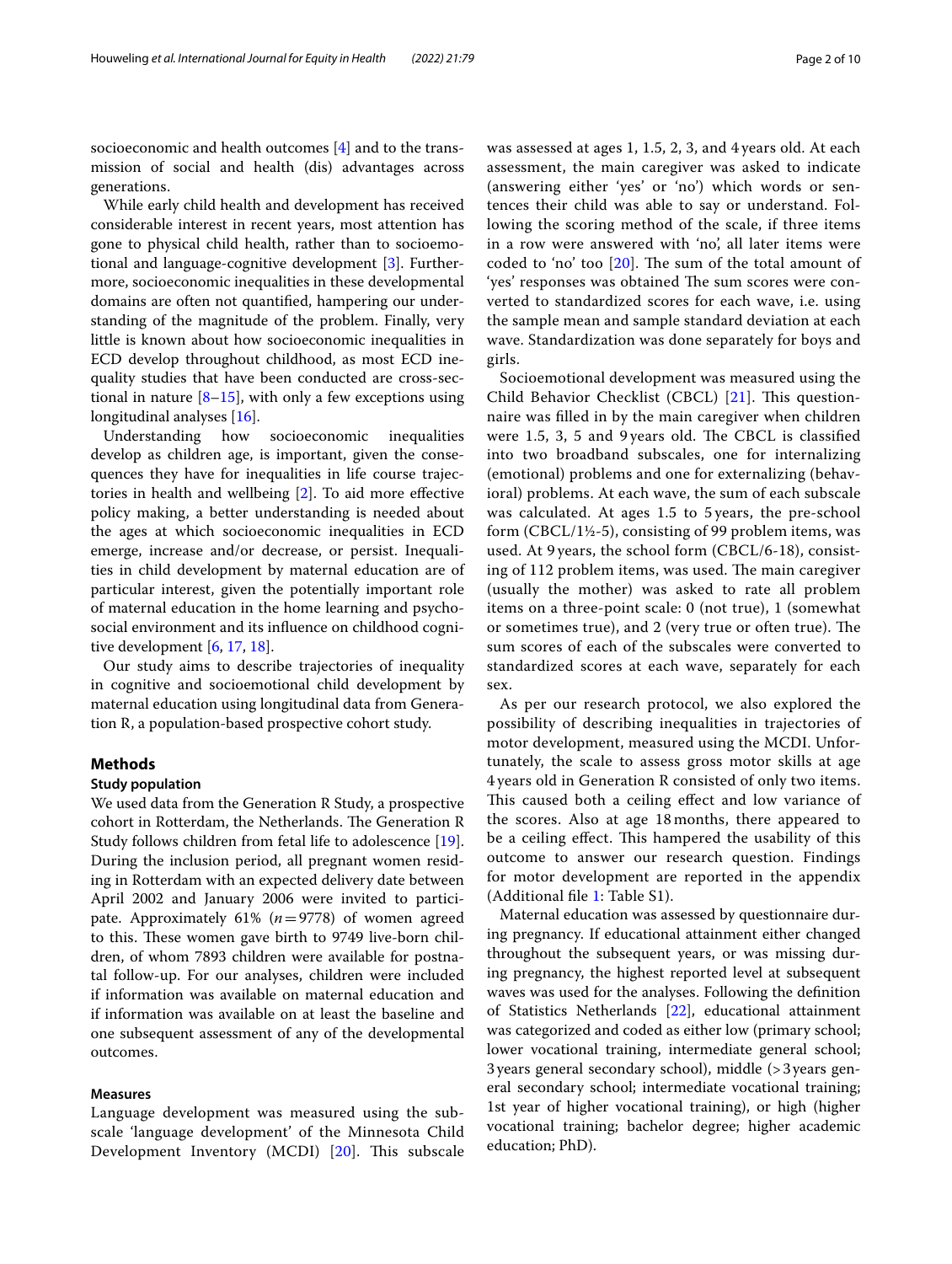socioeconomic and health outcomes [[4\]](#page-8-1) and to the transmission of social and health (dis) advantages across generations.

While early child health and development has received considerable interest in recent years, most attention has gone to physical child health, rather than to socioemotional and language-cognitive development [[3\]](#page-8-5). Furthermore, socioeconomic inequalities in these developmental domains are often not quantifed, hampering our understanding of the magnitude of the problem. Finally, very little is known about how socioeconomic inequalities in ECD develop throughout childhood, as most ECD inequality studies that have been conducted are cross-sectional in nature  $[8-15]$  $[8-15]$  $[8-15]$ , with only a few exceptions using longitudinal analyses [[16](#page-8-8)].

Understanding how socioeconomic inequalities develop as children age, is important, given the consequences they have for inequalities in life course trajectories in health and wellbeing [[2\]](#page-8-9). To aid more efective policy making, a better understanding is needed about the ages at which socioeconomic inequalities in ECD emerge, increase and/or decrease, or persist. Inequalities in child development by maternal education are of particular interest, given the potentially important role of maternal education in the home learning and psychosocial environment and its infuence on childhood cognitive development [[6](#page-8-3), [17,](#page-8-10) [18](#page-8-11)].

Our study aims to describe trajectories of inequality in cognitive and socioemotional child development by maternal education using longitudinal data from Generation R, a population-based prospective cohort study.

#### **Methods**

#### **Study population**

We used data from the Generation R Study, a prospective cohort in Rotterdam, the Netherlands. The Generation R Study follows children from fetal life to adolescence [\[19](#page-8-12)]. During the inclusion period, all pregnant women residing in Rotterdam with an expected delivery date between April 2002 and January 2006 were invited to participate. Approximately 61% (*n*=9778) of women agreed to this. These women gave birth to 9749 live-born children, of whom 7893 children were available for postnatal follow-up. For our analyses, children were included if information was available on maternal education and if information was available on at least the baseline and one subsequent assessment of any of the developmental outcomes.

#### **Measures**

Language development was measured using the subscale 'language development' of the Minnesota Child Development Inventory (MCDI) [[20\]](#page-8-13). This subscale was assessed at ages 1, 1.5, 2, 3, and 4 years old. At each assessment, the main caregiver was asked to indicate (answering either 'yes' or 'no') which words or sentences their child was able to say or understand. Following the scoring method of the scale, if three items in a row were answered with 'no', all later items were coded to 'no' too  $[20]$  $[20]$ . The sum of the total amount of 'yes' responses was obtained The sum scores were converted to standardized scores for each wave, i.e. using the sample mean and sample standard deviation at each wave. Standardization was done separately for boys and girls.

Socioemotional development was measured using the Child Behavior Checklist (CBCL)  $[21]$  $[21]$  $[21]$ . This questionnaire was flled in by the main caregiver when children were 1.5, 3, 5 and 9 years old. The CBCL is classified into two broadband subscales, one for internalizing (emotional) problems and one for externalizing (behavioral) problems. At each wave, the sum of each subscale was calculated. At ages 1.5 to 5 years, the pre-school form (CBCL/1½-5), consisting of 99 problem items, was used. At 9 years, the school form (CBCL/6-18), consisting of 112 problem items, was used. The main caregiver (usually the mother) was asked to rate all problem items on a three-point scale: 0 (not true), 1 (somewhat or sometimes true), and 2 (very true or often true). The sum scores of each of the subscales were converted to standardized scores at each wave, separately for each sex.

As per our research protocol, we also explored the possibility of describing inequalities in trajectories of motor development, measured using the MCDI. Unfortunately, the scale to assess gross motor skills at age 4 years old in Generation R consisted of only two items. This caused both a ceiling effect and low variance of the scores. Also at age 18 months, there appeared to be a ceiling effect. This hampered the usability of this outcome to answer our research question. Findings for motor development are reported in the appendix (Additional fle [1:](#page-7-0) Table S1).

Maternal education was assessed by questionnaire during pregnancy. If educational attainment either changed throughout the subsequent years, or was missing during pregnancy, the highest reported level at subsequent waves was used for the analyses. Following the defnition of Statistics Netherlands [[22\]](#page-8-15), educational attainment was categorized and coded as either low (primary school; lower vocational training, intermediate general school; 3years general secondary school), middle (>3years general secondary school; intermediate vocational training; 1st year of higher vocational training), or high (higher vocational training; bachelor degree; higher academic education; PhD).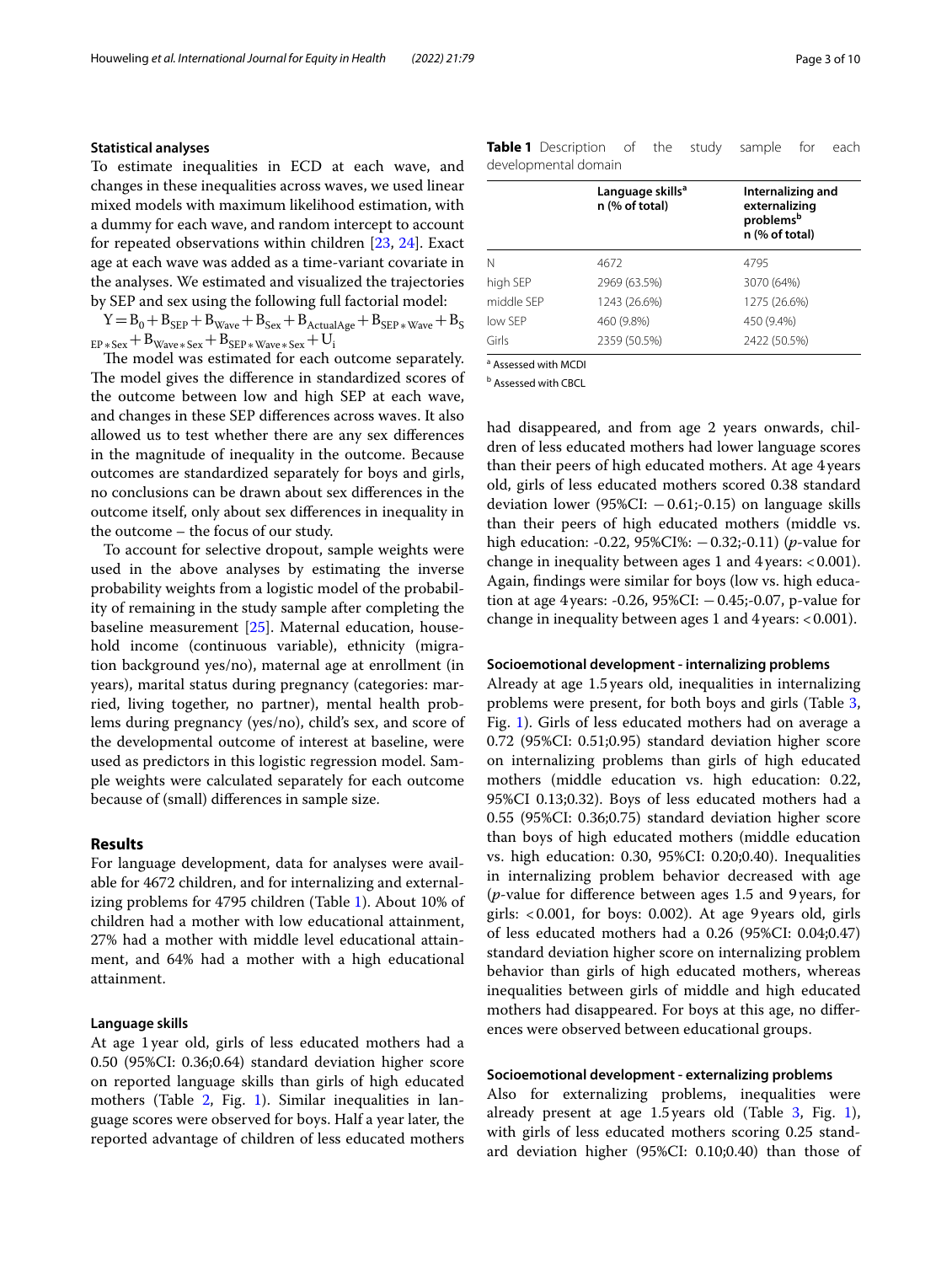#### **Statistical analyses**

To estimate inequalities in ECD at each wave, and changes in these inequalities across waves, we used linear mixed models with maximum likelihood estimation, with a dummy for each wave, and random intercept to account for repeated observations within children [[23](#page-8-16), [24](#page-8-17)]. Exact age at each wave was added as a time-variant covariate in the analyses. We estimated and visualized the trajectories by SEP and sex using the following full factorial model:

 $Y = B_0 + B_{\text{SEP}} + B_{\text{Wave}} + B_{\text{Sex}} + B_{\text{ActualAge}} + B_{\text{SEP}* \text{Wave}} + B_{\text{S}}$  $E_{\rm F+Sex} + B_{\rm Wave* Sex} + B_{\rm SEP*Wave* Sex} + U_{\rm i}$ 

The model was estimated for each outcome separately. The model gives the difference in standardized scores of the outcome between low and high SEP at each wave, and changes in these SEP diferences across waves. It also allowed us to test whether there are any sex diferences in the magnitude of inequality in the outcome. Because outcomes are standardized separately for boys and girls, no conclusions can be drawn about sex diferences in the outcome itself, only about sex diferences in inequality in the outcome – the focus of our study.

To account for selective dropout, sample weights were used in the above analyses by estimating the inverse probability weights from a logistic model of the probability of remaining in the study sample after completing the baseline measurement [\[25](#page-8-18)]. Maternal education, household income (continuous variable), ethnicity (migration background yes/no), maternal age at enrollment (in years), marital status during pregnancy (categories: married, living together, no partner), mental health problems during pregnancy (yes/no), child's sex, and score of the developmental outcome of interest at baseline, were used as predictors in this logistic regression model. Sample weights were calculated separately for each outcome because of (small) diferences in sample size.

#### **Results**

For language development, data for analyses were available for 4672 children, and for internalizing and externalizing problems for 4795 children (Table [1\)](#page-2-0). About 10% of children had a mother with low educational attainment, 27% had a mother with middle level educational attainment, and 64% had a mother with a high educational attainment.

#### **Language skills**

At age 1year old, girls of less educated mothers had a 0.50 (95%CI: 0.36;0.64) standard deviation higher score on reported language skills than girls of high educated mothers (Table [2,](#page-3-0) Fig. [1\)](#page-4-0). Similar inequalities in language scores were observed for boys. Half a year later, the reported advantage of children of less educated mothers <span id="page-2-0"></span>**Table 1** Description of the study sample for each developmental domain

|            | Language skills <sup>a</sup><br>n (% of total) | Internalizing and<br>externalizing<br>problems <sup>b</sup><br>n (% of total) |
|------------|------------------------------------------------|-------------------------------------------------------------------------------|
| N          | 4672                                           | 4795                                                                          |
| high SEP   | 2969 (63.5%)                                   | 3070 (64%)                                                                    |
| middle SFP | 1243 (26.6%)                                   | 1275 (26.6%)                                                                  |
| low SFP    | 460 (9.8%)                                     | 450 (9.4%)                                                                    |
| Girls      | 2359 (50.5%)                                   | 2422 (50.5%)                                                                  |

a Assessed with MCDI

**b** Assessed with CBCL

had disappeared, and from age 2 years onwards, children of less educated mothers had lower language scores than their peers of high educated mothers. At age 4 years old, girls of less educated mothers scored 0.38 standard deviation lower (95%CI:  $-0.61; -0.15$ ) on language skills than their peers of high educated mothers (middle vs. high education: -0.22, 95%CI%: −0.32;-0.11) (*p*-value for change in inequality between ages 1 and  $4$  years: < 0.001). Again, fndings were similar for boys (low vs. high education at age 4 years: -0.26,  $95\%$ CI:  $-0.45$ ;-0.07, p-value for change in inequality between ages 1 and  $4$  years: < 0.001).

#### **Socioemotional development ‑ internalizing problems**

Already at age 1.5years old, inequalities in internalizing problems were present, for both boys and girls (Table [3](#page-5-0), Fig. [1\)](#page-4-0). Girls of less educated mothers had on average a 0.72 (95%CI: 0.51;0.95) standard deviation higher score on internalizing problems than girls of high educated mothers (middle education vs. high education: 0.22, 95%CI 0.13;0.32). Boys of less educated mothers had a 0.55 (95%CI: 0.36;0.75) standard deviation higher score than boys of high educated mothers (middle education vs. high education: 0.30, 95%CI: 0.20;0.40). Inequalities in internalizing problem behavior decreased with age (*p*-value for diference between ages 1.5 and 9years, for girls: <0.001, for boys: 0.002). At age 9years old, girls of less educated mothers had a 0.26 (95%CI: 0.04;0.47) standard deviation higher score on internalizing problem behavior than girls of high educated mothers, whereas inequalities between girls of middle and high educated mothers had disappeared. For boys at this age, no diferences were observed between educational groups.

#### **Socioemotional development ‑ externalizing problems**

Also for externalizing problems, inequalities were already present at age 1.5years old (Table [3,](#page-5-0) Fig. [1](#page-4-0)), with girls of less educated mothers scoring 0.25 standard deviation higher (95%CI: 0.10;0.40) than those of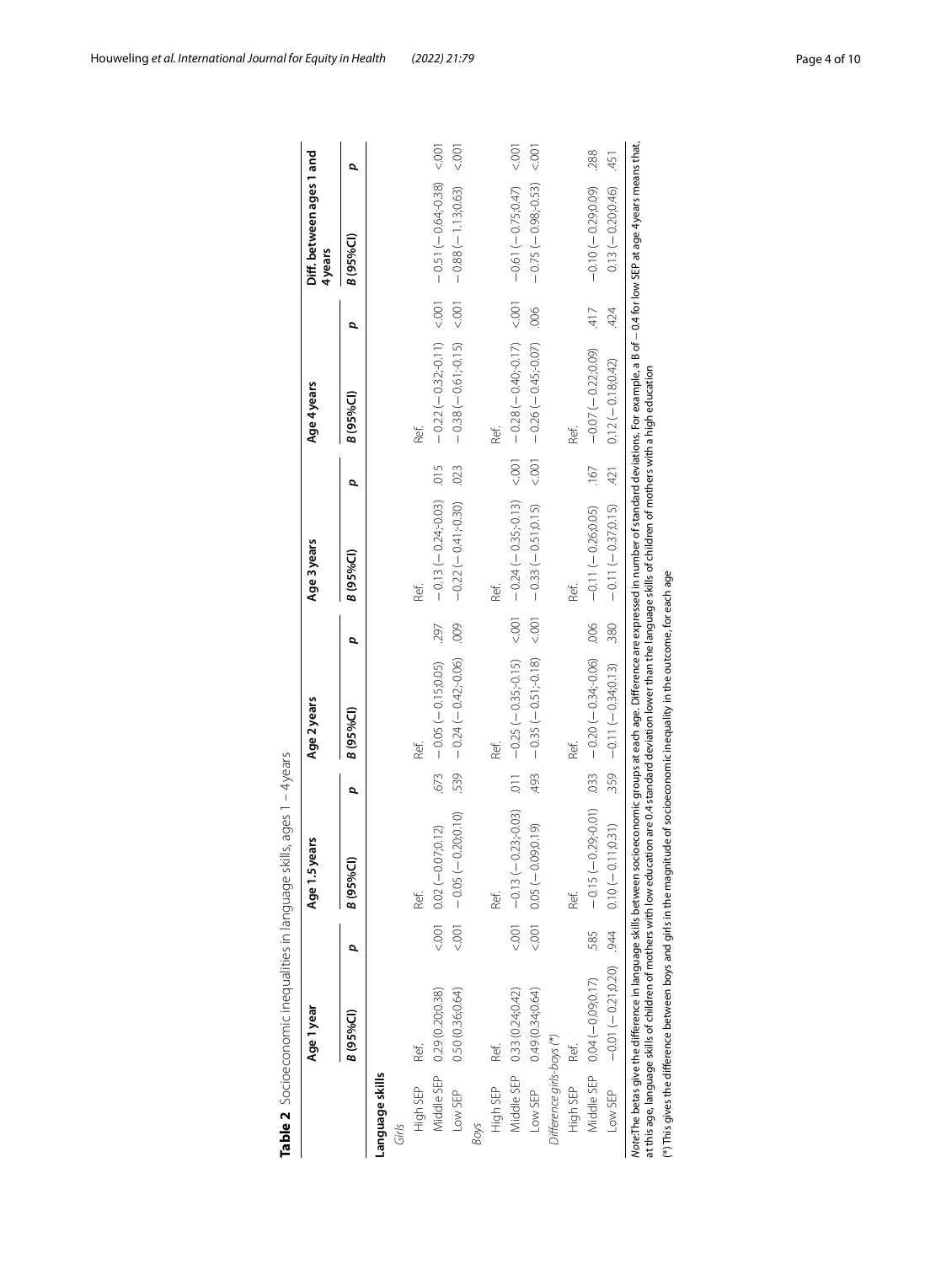|                             |                              |   | Age 1.5 years                    |                 | Age 2 years             |       | Age 3 years             |        | Age 4 years                                                                    |        | Diff. between ages 1 and<br>4years |     |
|-----------------------------|------------------------------|---|----------------------------------|-----------------|-------------------------|-------|-------------------------|--------|--------------------------------------------------------------------------------|--------|------------------------------------|-----|
|                             | B (95%Cl)                    | α | B (95%CI)                        | Q               | <b>B</b> (95%CI)        | p     | B (95%Cl)               | p      | B (95%CI)                                                                      | Q      | B (95%Cl)                          | Q   |
| Language skills             |                              |   |                                  |                 |                         |       |                         |        |                                                                                |        |                                    |     |
| Girls                       |                              |   |                                  |                 |                         |       |                         |        |                                                                                |        |                                    |     |
| Ref.<br>High SEP            |                              |   | Ref.                             |                 | Ref.                    |       | Ref.                    |        | Ref.                                                                           |        |                                    |     |
| Middle SEP 0.29 (0.20;0.38) |                              |   | $(5.001 \ 0.02 \ (-0.07, 0.12))$ | 673             | $-0.05(-0.15,0.05)$     | 297   | $-0.13(-0.24)-0.3$ 0.15 |        | $-0.22(-0.32,-0.11) < 0.01$                                                    |        | - 00:7 (882-4910-1)                |     |
| Low SEP                     | 0.50(0.36;0.64)              |   |                                  | 539             | $-0.24(-0.42, 0.06)$    | .009  | $-0.22(-0.41,0.30)$     | .023   | $-0.38(-0.61,-0.15)$ <.001                                                     |        | $-0.88 (-1.13, 0.63)$ <.001        |     |
| Boys                        |                              |   |                                  |                 |                         |       |                         |        |                                                                                |        |                                    |     |
| Ref.<br>High SEP            |                              |   | Ref.                             |                 | Ref.                    |       | Ref.                    |        | Ref.                                                                           |        |                                    |     |
| Middle SEP 0.33 (0.24;0.42) |                              |   | $-0.13 (-0.23,-0.03)$            | $\overline{11}$ | $-0.25(-0.35,-0.15)$    | < 001 |                         |        | $-0.24 (-0.35; -0.13)$ $-0.00$ , $\overline{0.00}$ $-0.00$ , $\overline{0.00}$ |        | $-0.61(-0.75,0.47)$ < 0.01         |     |
| Low SEP 0.49 (0.34;0.64)    |                              |   | $(0.001 - 0.000 - 0.000)$        | 493             | $-0.35(-0.51,-0.18)$    | 001   | $-0.33(-0.51;0.15)$     | < .001 | $-0.26(-0.45,-0.07)$                                                           | 006    | $-0.75(-0.98, 0.53)$ < 0.001       |     |
| Difference girls-boys (*)   |                              |   |                                  |                 |                         |       |                         |        |                                                                                |        |                                    |     |
| High SEP<br>Ref.            |                              |   | Ref.                             |                 | Ref.                    |       | Ref.                    |        | Ref.                                                                           |        |                                    |     |
|                             | Middle SEP 0.04 (-0.09;0.17) |   | $-0.070(-0.29)$ - 585.           | .033            | $-0.20$ $-0.34$ ; 90.00 | .006  | $-0.11(-0.26, 0.05)$    | $-167$ | $-0.07(-0.22,0.09)$                                                            | $-417$ | $-0.10 (-0.29, 0.09)$              | 288 |
| Low SEP                     | $-0.01(-0.21, 0.20)$         |   | $0.10 (-0.11, 0.31)$             | 359             | $-0.11 (-0.34; 0.13)$   | 380   | $-0.11(-0.37;0.15)$     | 421    | $0.12(-0.18, 0.42)$                                                            | 424    | $0.13 (-0.20, 0.46)$               | 451 |

<span id="page-3-0"></span>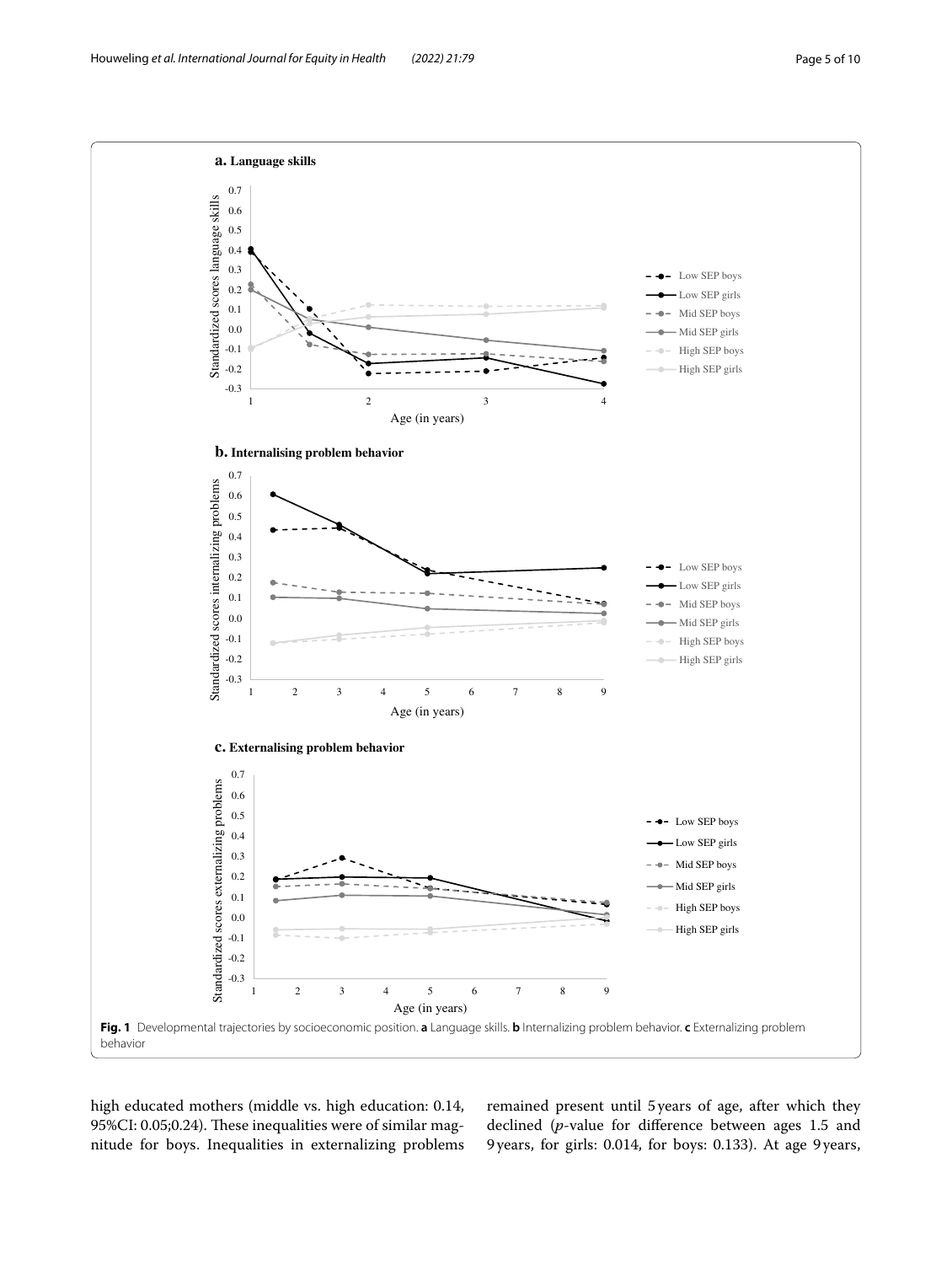

<span id="page-4-0"></span>high educated mothers (middle vs. high education: 0.14, 95%CI: 0.05;0.24). These inequalities were of similar magnitude for boys. Inequalities in externalizing problems remained present until 5years of age, after which they declined (*p*-value for diference between ages 1.5 and 9years, for girls: 0.014, for boys: 0.133). At age 9 years,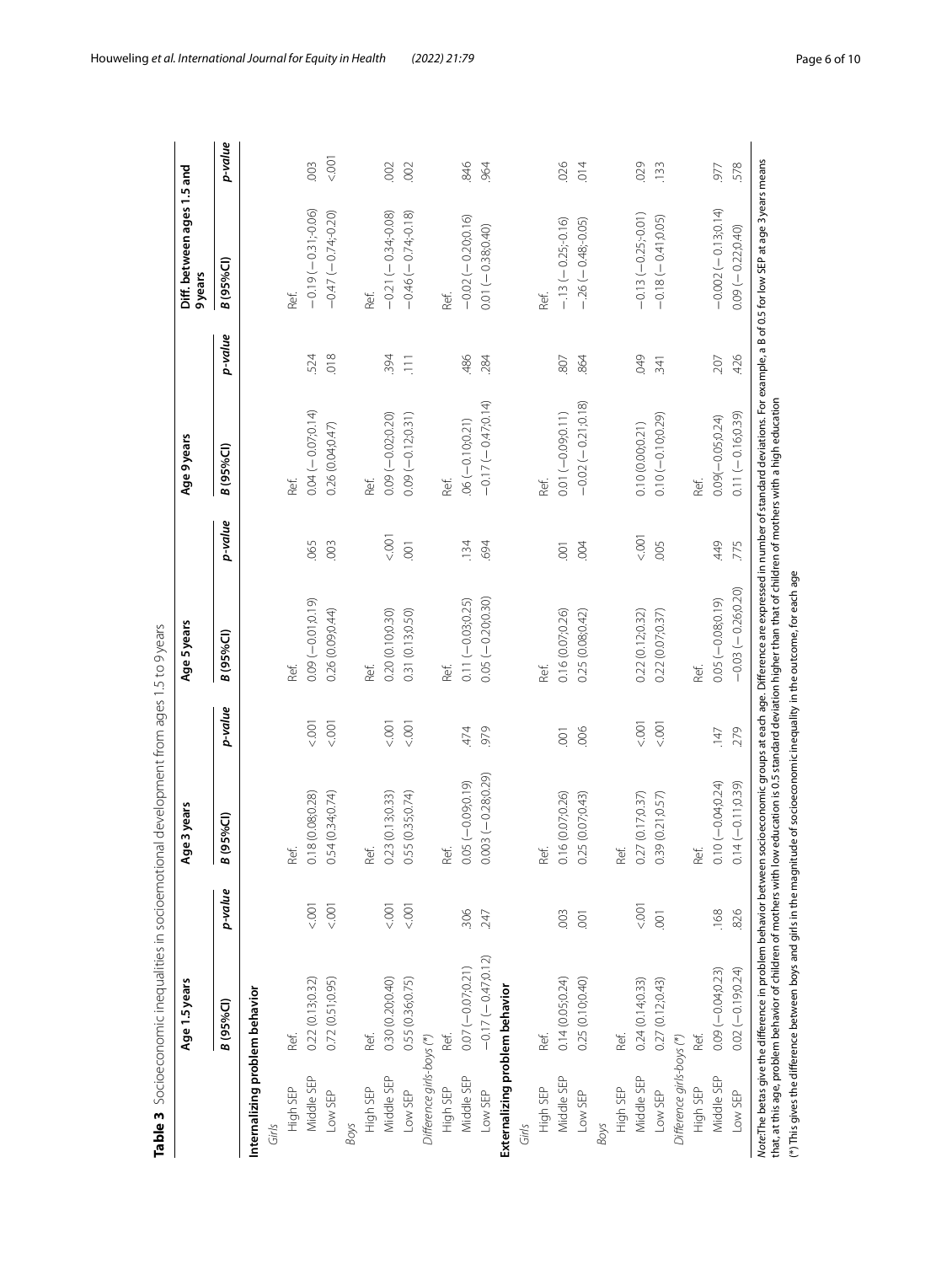<span id="page-5-0"></span>

|                                | Age 1.5 years        |                | je 3 years<br>ዴ                            |                | Age 5 years          |                | Age 9 years          |            | Diff. between ages 1.5 and<br>9years |         |
|--------------------------------|----------------------|----------------|--------------------------------------------|----------------|----------------------|----------------|----------------------|------------|--------------------------------------|---------|
|                                | <b>B</b> (95%Cl)     | p-value        | B (95%CI)                                  | p-value        | B (95%Cl)            | p-value        | B (95%Cl)            | p-value    | B (95%Cl)                            | p-value |
| Internalizing problem behavior |                      |                |                                            |                |                      |                |                      |            |                                      |         |
| Girls                          |                      |                |                                            |                |                      |                |                      |            |                                      |         |
| High SEP                       | Ref.                 |                | Ref.                                       |                | Ref.                 |                | Ref.                 |            | Ref.                                 |         |
| Middle SEP                     | 0.22(0.13; 0.32)     | 5001           | 0.18 (0.08;0.28)                           | 500            | $0.09(-0.01;0.19)$   | .065           | $0.04 (-0.07, 0.14)$ | 524        | $-0.19(-0.31) - 0.06$                | 003     |
| Low SEP                        | 0.72(0.51, 0.95)     | 5001           | 0.54(0.34;0.74)                            | $500 - 500$    | 0.26 (0.09,0.44)     | 003            | 0.26 (0.04;0.47)     | 018        | $-0.47(-0.74, 0.20)$                 | 5001    |
| Boys                           |                      |                |                                            |                |                      |                |                      |            |                                      |         |
| High SEP                       | Ref.                 |                | Ref.                                       |                | Ref.                 |                | Ref.                 |            | Ref.                                 |         |
| Middle SEP                     | 0.30 (0.20;0.40)     | $500 - 500$    | 0.23(0.13; 0.33)                           | 500            | 0.20 (0.10;0.30)     | $500 - 700$    | $0.09 (-0.02; 0.20)$ | 394        | $-0.21(-0.34; 0.08)$                 | 002     |
| Low SEP                        | 0.55 (0.36;0.75)     | 5001           | 0.55 (0.35;0.74)                           | $500 - 75$     | 0.31 (0.13;0.50)     | $\overline{0}$ | $0.09(-0.12,0.31)$   | $\Xi$      | $-0.46(-0.74, 0.18)$                 | .002    |
| Difference girls-boys (*)      |                      |                |                                            |                |                      |                |                      |            |                                      |         |
| High SEP                       | Ref.                 |                | Ref.                                       |                | Ref.                 |                | Ref.                 |            | Ref.                                 |         |
| Middle SEP                     | $0.07 (-0.07; 0.21)$ | 306            | $0.05 (-0.09, 0.19)$                       | 474            | $0.11 (-0.03; 0.25)$ | .134           | $06(-0.10, 0.21)$    | 486        | $-0.02(-0.20,0.16)$                  | 846     |
| Low SEP                        | $-0.17(-0.47;0.12)$  | 247            | $0.003(-0.28;0.29)$                        | 979            | $0.05 (-0.20, 0.30)$ | .694           | $-0.17(-0.47, 0.14)$ | .284       | $0.01 (-0.38, 0.40)$                 | 964     |
| Externalizing problem behavior |                      |                |                                            |                |                      |                |                      |            |                                      |         |
| Girls                          |                      |                |                                            |                |                      |                |                      |            |                                      |         |
| High SEP                       | Ref.                 |                | Ref.                                       |                | Ref.                 |                | Ref.                 |            | Ref                                  |         |
| Middle SEP                     | 0.14(0.05; 0.24)     | 003            | 0.16 (0.07;0.26)                           | $\overline{0}$ | 0.16 (0.07;0.26)     | $\overline{5}$ | $0.01 (-0.09, 0.11)$ | 807        | $-13(-0.25, 0.16)$                   | .026    |
| Low SEP                        | 0.25 (0.10;0.40)     | $\overline{0}$ | 0.25(0.07, 0.43)                           | .006           | 0.25 (0.08;0.42)     | .004           | $-0.02(-0.21,0.18)$  | 864        | $-26(-0.48,-0.05)$                   | 014     |
| Boys                           |                      |                |                                            |                |                      |                |                      |            |                                      |         |
| High SEP                       | Ref.                 |                | Ref.                                       |                |                      |                |                      |            |                                      |         |
| Middle SEP                     | 0.24(0.14, 0.33)     | 000            | 0.27 (0.17;0.37)                           | 001            | 0.22 (0.12;0.32)     | 5001           | 0.10 (0.00;0.21)     | <b>6KO</b> | $-0.13(-0.25,-0.01)$                 | 029     |
| Low SEP                        | 0.27(0.12)0.43       | 001            | 0.39(0.21, 0.57)                           | 5.001          | 0.22(0.07; 0.37)     | ,005           | $0.10 (-0.10, 0.29)$ | 341        | $-0.18(-0.17005)$                    | .133    |
| Difference girls-boys (*)      |                      |                |                                            |                |                      |                |                      |            |                                      |         |
| High SEP                       | Ref.                 |                | Ref.                                       |                | Ref.                 |                | Ref.                 |            |                                      |         |
| Middle SEP                     | $0.09(-0.04,0.23)$   | .168           | $0 (-0.04, 0.24)$<br>$\overline{\text{o}}$ | 147            | $0.05(-0.08, 0.19)$  | 449            | $0.09(-0.05, 0.24)$  | .207       | $-0.002(-0.13, 0.14)$                | 977     |
| Low SEP                        | $0.02 (-0.19, 0.24)$ | 826            | $0.14(-0.11, 0.39)$                        | 279            | $-0.03(-0.26, 0.20)$ | 775            | $0.11 (-0.16, 0.39)$ | 426        | $0.09(-0.22;0.40)$                   | 578     |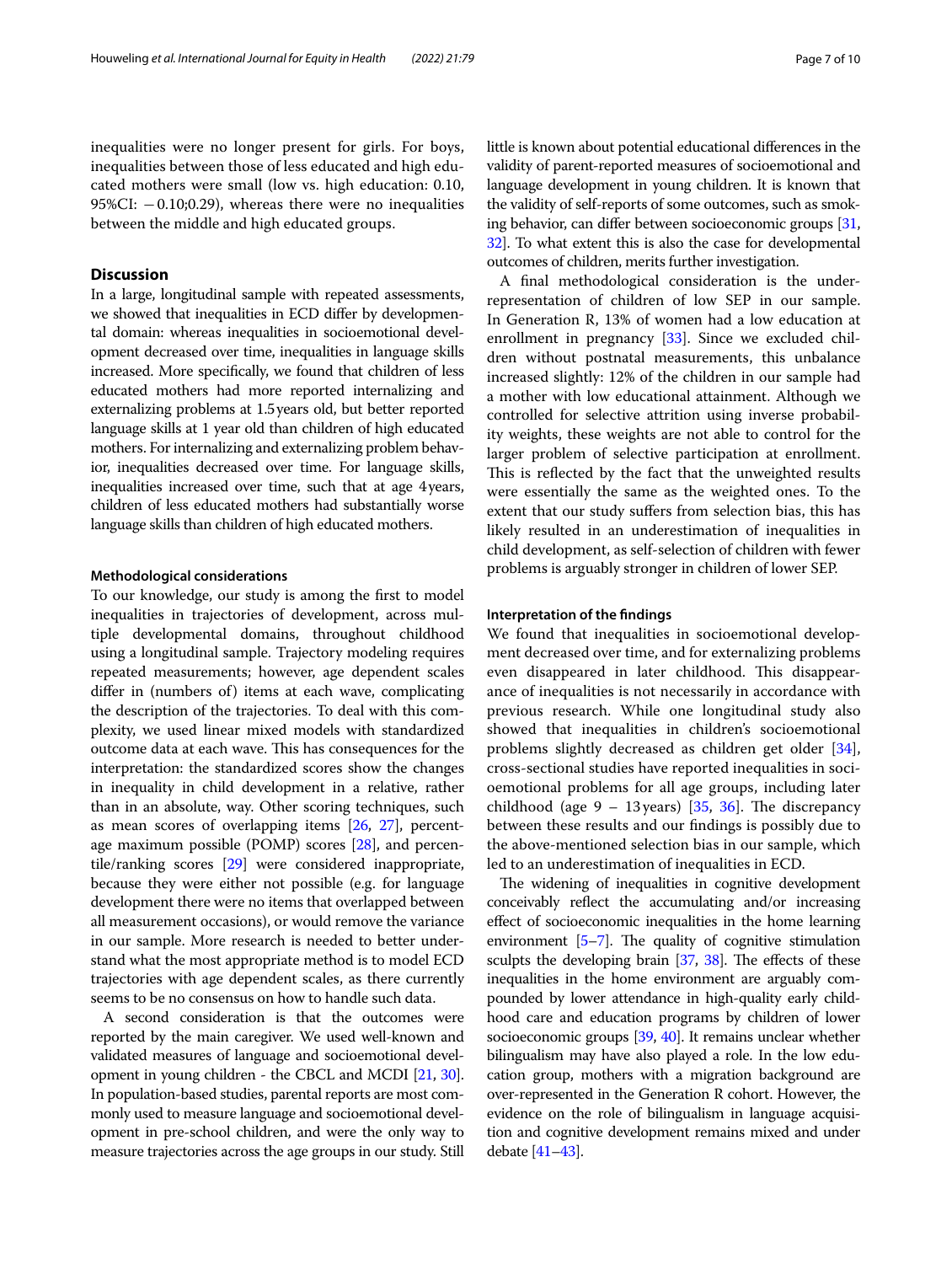inequalities were no longer present for girls. For boys, inequalities between those of less educated and high educated mothers were small (low vs. high education: 0.10, 95%CI: −0.10;0.29), whereas there were no inequalities between the middle and high educated groups.

#### **Discussion**

In a large, longitudinal sample with repeated assessments, we showed that inequalities in ECD difer by developmental domain: whereas inequalities in socioemotional development decreased over time, inequalities in language skills increased. More specifcally, we found that children of less educated mothers had more reported internalizing and externalizing problems at 1.5years old, but better reported language skills at 1 year old than children of high educated mothers. For internalizing and externalizing problem behavior, inequalities decreased over time. For language skills, inequalities increased over time, such that at age 4years, children of less educated mothers had substantially worse language skills than children of high educated mothers.

#### **Methodological considerations**

To our knowledge, our study is among the frst to model inequalities in trajectories of development, across multiple developmental domains, throughout childhood using a longitudinal sample. Trajectory modeling requires repeated measurements; however, age dependent scales difer in (numbers of) items at each wave, complicating the description of the trajectories. To deal with this complexity, we used linear mixed models with standardized outcome data at each wave. This has consequences for the interpretation: the standardized scores show the changes in inequality in child development in a relative, rather than in an absolute, way. Other scoring techniques, such as mean scores of overlapping items [[26](#page-8-19), [27\]](#page-8-20), percentage maximum possible (POMP) scores [\[28\]](#page-8-21), and percentile/ranking scores [\[29\]](#page-8-22) were considered inappropriate, because they were either not possible (e.g. for language development there were no items that overlapped between all measurement occasions), or would remove the variance in our sample. More research is needed to better understand what the most appropriate method is to model ECD trajectories with age dependent scales, as there currently seems to be no consensus on how to handle such data.

A second consideration is that the outcomes were reported by the main caregiver. We used well-known and validated measures of language and socioemotional development in young children - the CBCL and MCDI [\[21,](#page-8-14) [30](#page-8-23)]. In population-based studies, parental reports are most commonly used to measure language and socioemotional development in pre-school children, and were the only way to measure trajectories across the age groups in our study. Still little is known about potential educational diferences in the validity of parent-reported measures of socioemotional and language development in young children. It is known that the validity of self-reports of some outcomes, such as smoking behavior, can difer between socioeconomic groups [\[31](#page-8-24), [32](#page-8-25)]. To what extent this is also the case for developmental outcomes of children, merits further investigation.

A fnal methodological consideration is the underrepresentation of children of low SEP in our sample. In Generation R, 13% of women had a low education at enrollment in pregnancy [\[33\]](#page-8-26). Since we excluded children without postnatal measurements, this unbalance increased slightly: 12% of the children in our sample had a mother with low educational attainment. Although we controlled for selective attrition using inverse probability weights, these weights are not able to control for the larger problem of selective participation at enrollment. This is reflected by the fact that the unweighted results were essentially the same as the weighted ones. To the extent that our study sufers from selection bias, this has likely resulted in an underestimation of inequalities in child development, as self-selection of children with fewer problems is arguably stronger in children of lower SEP.

#### **Interpretation of the fndings**

We found that inequalities in socioemotional development decreased over time, and for externalizing problems even disappeared in later childhood. This disappearance of inequalities is not necessarily in accordance with previous research. While one longitudinal study also showed that inequalities in children's socioemotional problems slightly decreased as children get older [\[34](#page-8-27)], cross-sectional studies have reported inequalities in socioemotional problems for all age groups, including later childhood (age  $9 - 13$  years) [[35,](#page-8-28) [36](#page-8-29)]. The discrepancy between these results and our fndings is possibly due to the above-mentioned selection bias in our sample, which led to an underestimation of inequalities in ECD.

The widening of inequalities in cognitive development conceivably refect the accumulating and/or increasing efect of socioeconomic inequalities in the home learning environment  $[5-7]$  $[5-7]$ . The quality of cognitive stimulation sculpts the developing brain  $[37, 38]$  $[37, 38]$  $[37, 38]$  $[37, 38]$ . The effects of these inequalities in the home environment are arguably compounded by lower attendance in high-quality early childhood care and education programs by children of lower socioeconomic groups [\[39,](#page-8-32) [40](#page-8-33)]. It remains unclear whether bilingualism may have also played a role. In the low education group, mothers with a migration background are over-represented in the Generation R cohort. However, the evidence on the role of bilingualism in language acquisition and cognitive development remains mixed and under debate [[41–](#page-8-34)[43](#page-8-35)].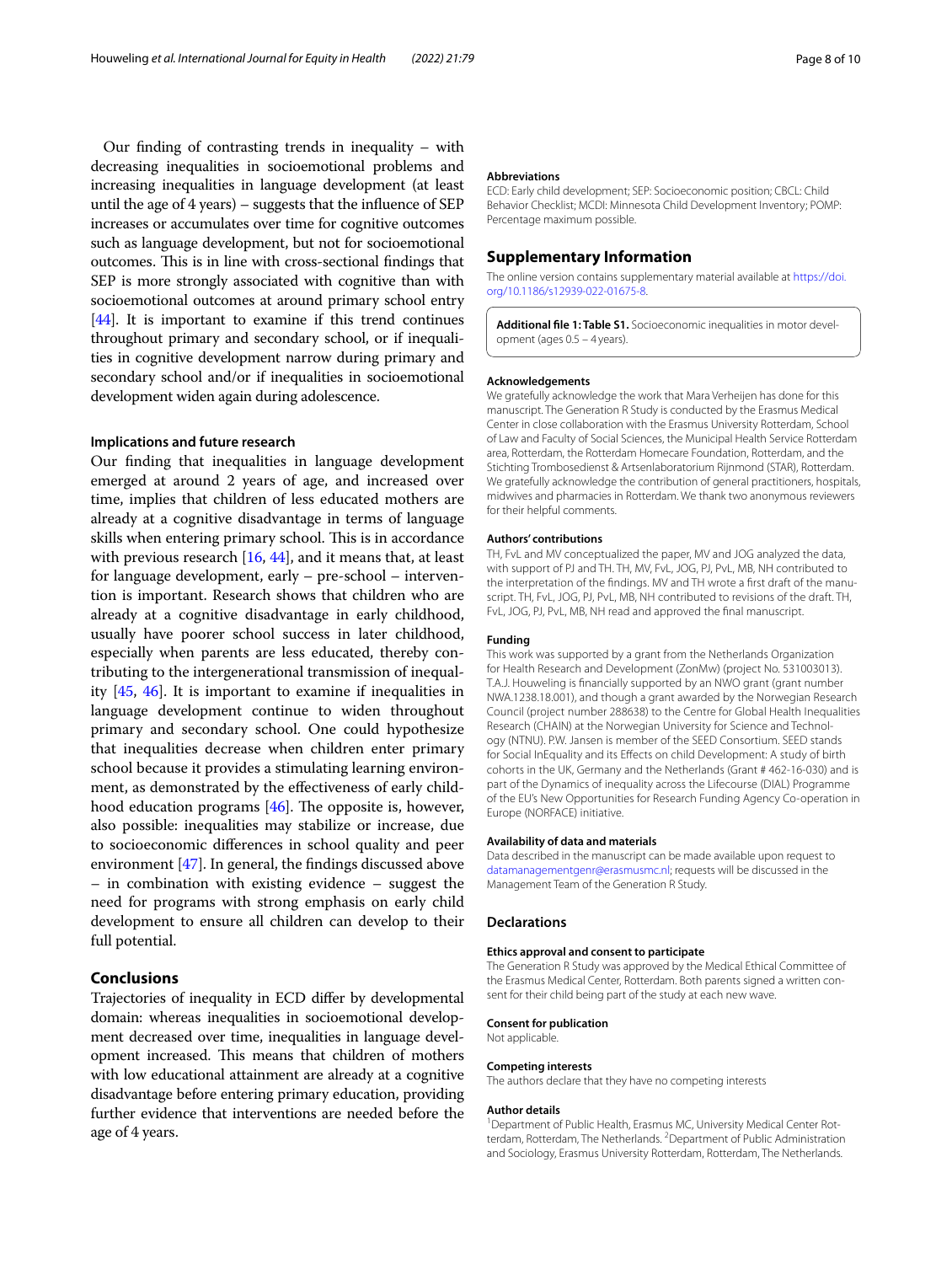Our fnding of contrasting trends in inequality – with decreasing inequalities in socioemotional problems and increasing inequalities in language development (at least until the age of 4 years) – suggests that the infuence of SEP increases or accumulates over time for cognitive outcomes such as language development, but not for socioemotional outcomes. This is in line with cross-sectional findings that SEP is more strongly associated with cognitive than with socioemotional outcomes at around primary school entry [[44](#page-9-0)]. It is important to examine if this trend continues throughout primary and secondary school, or if inequalities in cognitive development narrow during primary and secondary school and/or if inequalities in socioemotional development widen again during adolescence.

#### **Implications and future research**

Our fnding that inequalities in language development emerged at around 2 years of age, and increased over time, implies that children of less educated mothers are already at a cognitive disadvantage in terms of language skills when entering primary school. This is in accordance with previous research [\[16](#page-8-8), [44\]](#page-9-0), and it means that, at least for language development, early – pre-school – intervention is important. Research shows that children who are already at a cognitive disadvantage in early childhood, usually have poorer school success in later childhood, especially when parents are less educated, thereby contributing to the intergenerational transmission of inequality [[45,](#page-9-1) [46](#page-9-2)]. It is important to examine if inequalities in language development continue to widen throughout primary and secondary school. One could hypothesize that inequalities decrease when children enter primary school because it provides a stimulating learning environment, as demonstrated by the efectiveness of early childhood education programs  $[46]$  $[46]$  $[46]$ . The opposite is, however, also possible: inequalities may stabilize or increase, due to socioeconomic diferences in school quality and peer environment [\[47\]](#page-9-3). In general, the fndings discussed above – in combination with existing evidence – suggest the need for programs with strong emphasis on early child development to ensure all children can develop to their full potential.

#### **Conclusions**

Trajectories of inequality in ECD difer by developmental domain: whereas inequalities in socioemotional development decreased over time, inequalities in language development increased. This means that children of mothers with low educational attainment are already at a cognitive disadvantage before entering primary education, providing further evidence that interventions are needed before the age of 4 years.

#### **Abbreviations**

ECD: Early child development; SEP: Socioeconomic position; CBCL: Child Behavior Checklist; MCDI: Minnesota Child Development Inventory; POMP: Percentage maximum possible.

#### **Supplementary Information**

The online version contains supplementary material available at [https://doi.](https://doi.org/10.1186/s12939-022-01675-8) [org/10.1186/s12939-022-01675-8](https://doi.org/10.1186/s12939-022-01675-8).

<span id="page-7-0"></span>**Additional fle 1: Table S1.** Socioeconomic inequalities in motor development (ages 0.5 – 4 years).

#### **Acknowledgements**

We gratefully acknowledge the work that Mara Verheijen has done for this manuscript. The Generation R Study is conducted by the Erasmus Medical Center in close collaboration with the Erasmus University Rotterdam, School of Law and Faculty of Social Sciences, the Municipal Health Service Rotterdam area, Rotterdam, the Rotterdam Homecare Foundation, Rotterdam, and the Stichting Trombosedienst & Artsenlaboratorium Rijnmond (STAR), Rotterdam. We gratefully acknowledge the contribution of general practitioners, hospitals, midwives and pharmacies in Rotterdam. We thank two anonymous reviewers for their helpful comments.

#### **Authors' contributions**

TH, FvL and MV conceptualized the paper, MV and JOG analyzed the data, with support of PJ and TH. TH, MV, FvL, JOG, PJ, PvL, MB, NH contributed to the interpretation of the fndings. MV and TH wrote a frst draft of the manuscript. TH, FvL, JOG, PJ, PvL, MB, NH contributed to revisions of the draft. TH, FvL, JOG, PJ, PvL, MB, NH read and approved the fnal manuscript.

#### **Funding**

This work was supported by a grant from the Netherlands Organization for Health Research and Development (ZonMw) (project No. 531003013). T.A.J. Houweling is fnancially supported by an NWO grant (grant number NWA.1238.18.001), and though a grant awarded by the Norwegian Research Council (project number 288638) to the Centre for Global Health Inequalities Research (CHAIN) at the Norwegian University for Science and Technology (NTNU). P.W. Jansen is member of the SEED Consortium. SEED stands for Social InEquality and its Efects on child Development: A study of birth cohorts in the UK, Germany and the Netherlands (Grant # 462-16-030) and is part of the Dynamics of inequality across the Lifecourse (DIAL) Programme of the EU's New Opportunities for Research Funding Agency Co-operation in Europe (NORFACE) initiative.

#### **Availability of data and materials**

Data described in the manuscript can be made available upon request to <datamanagementgenr@erasmusmc.nl>; requests will be discussed in the Management Team of the Generation R Study.

#### **Declarations**

#### **Ethics approval and consent to participate**

The Generation R Study was approved by the Medical Ethical Committee of the Erasmus Medical Center, Rotterdam. Both parents signed a written consent for their child being part of the study at each new wave.

#### **Consent for publication**

Not applicable.

#### **Competing interests**

The authors declare that they have no competing interests

#### **Author details**

<sup>1</sup> Department of Public Health, Erasmus MC, University Medical Center Rotterdam, Rotterdam, The Netherlands. <sup>2</sup> Department of Public Administration and Sociology, Erasmus University Rotterdam, Rotterdam, The Netherlands.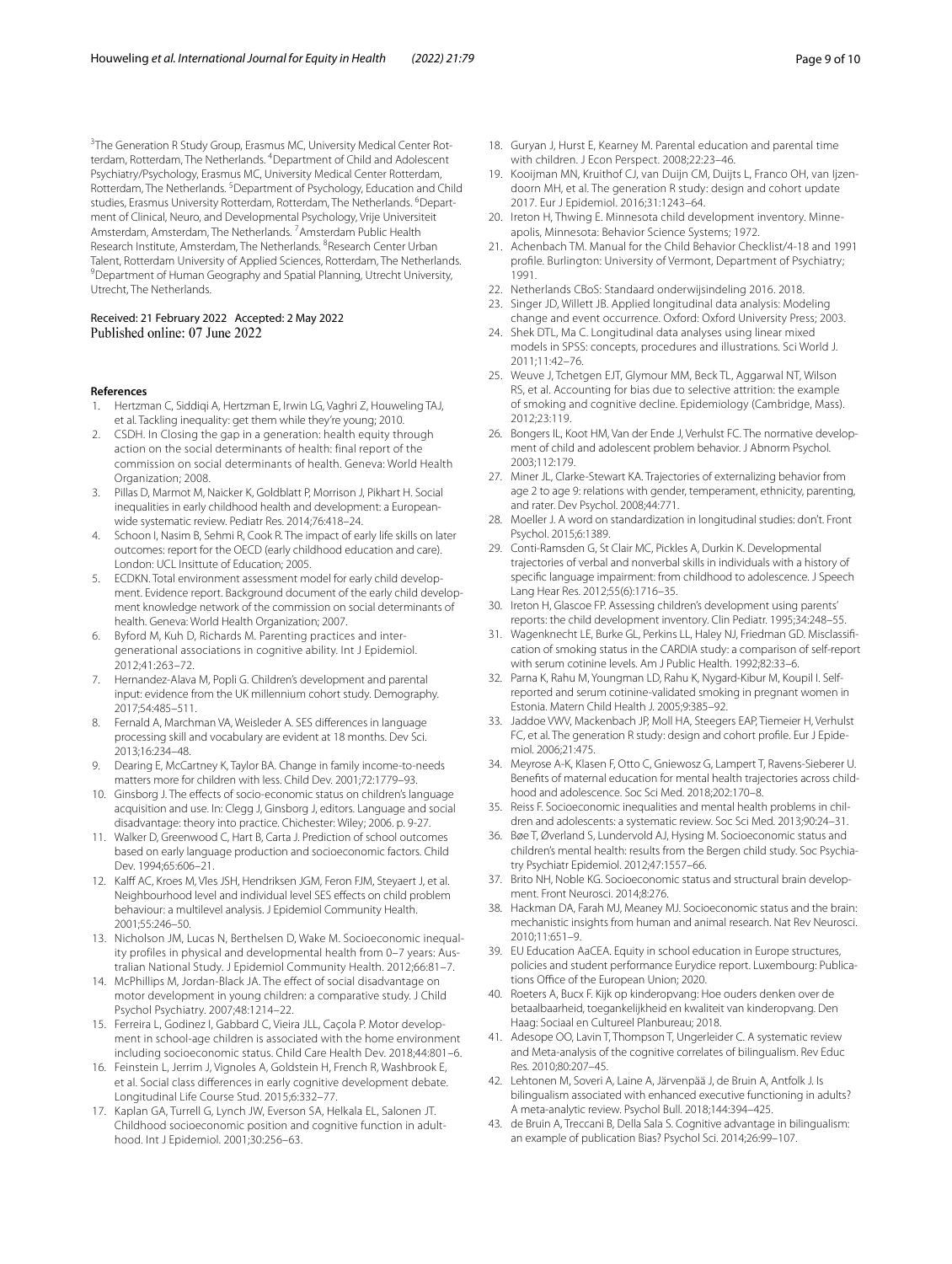<sup>3</sup>The Generation R Study Group, Erasmus MC, University Medical Center Rotterdam, Rotterdam, The Netherlands. <sup>4</sup> Department of Child and Adolescent Psychiatry/Psychology, Erasmus MC, University Medical Center Rotterdam, Rotterdam, The Netherlands. <sup>5</sup> Department of Psychology, Education and Child studies, Erasmus University Rotterdam, Rotterdam, The Netherlands. <sup>6</sup>Department of Clinical, Neuro, and Developmental Psychology, Vrije Universiteit Amsterdam, Amsterdam, The Netherlands. <sup>7</sup> Amsterdam Public Health Research Institute, Amsterdam, The Netherlands. <sup>8</sup> Research Center Urban Talent, Rotterdam University of Applied Sciences, Rotterdam, The Netherlands. 9 <sup>9</sup> Department of Human Geography and Spatial Planning, Utrecht University, Utrecht, The Netherlands.

# Received: 21 February 2022 Accepted: 2 May 2022<br>Published online: 07 June 2022

#### **References**

- <span id="page-8-0"></span>1. Hertzman C, Siddiqi A, Hertzman E, Irwin LG, Vaghri Z, Houweling TAJ, et al. Tackling inequality: get them while they're young; 2010.
- <span id="page-8-9"></span>2. CSDH. In Closing the gap in a generation: health equity through action on the social determinants of health: final report of the commission on social determinants of health. Geneva: World Health Organization; 2008.
- <span id="page-8-5"></span>3. Pillas D, Marmot M, Naicker K, Goldblatt P, Morrison J, Pikhart H. Social inequalities in early childhood health and development: a Europeanwide systematic review. Pediatr Res. 2014;76:418–24.
- <span id="page-8-1"></span>4. Schoon I, Nasim B, Sehmi R, Cook R. The impact of early life skills on later outcomes: report for the OECD (early childhood education and care). London: UCL Insittute of Education; 2005.
- <span id="page-8-2"></span>5. ECDKN. Total environment assessment model for early child development. Evidence report. Background document of the early child development knowledge network of the commission on social determinants of health. Geneva: World Health Organization; 2007.
- <span id="page-8-3"></span>6. Byford M, Kuh D, Richards M. Parenting practices and intergenerational associations in cognitive ability. Int J Epidemiol. 2012;41:263–72.
- <span id="page-8-4"></span>7. Hernandez-Alava M, Popli G. Children's development and parental input: evidence from the UK millennium cohort study. Demography. 2017;54:485–511.
- <span id="page-8-6"></span>8. Fernald A, Marchman VA, Weisleder A. SES diferences in language processing skill and vocabulary are evident at 18 months. Dev Sci. 2013;16:234–48.
- 9. Dearing E, McCartney K, Taylor BA. Change in family income-to-needs matters more for children with less. Child Dev. 2001;72:1779–93.
- 10. Ginsborg J. The efects of socio-economic status on children's language acquisition and use. In: Clegg J, Ginsborg J, editors. Language and social disadvantage: theory into practice. Chichester: Wiley; 2006. p. 9-27.
- 11. Walker D, Greenwood C, Hart B, Carta J. Prediction of school outcomes based on early language production and socioeconomic factors. Child Dev. 1994;65:606–21.
- 12. Kalff AC, Kroes M, Vles JSH, Hendriksen JGM, Feron FJM, Steyaert J, et al. Neighbourhood level and individual level SES efects on child problem behaviour: a multilevel analysis. J Epidemiol Community Health. 2001;55:246–50.
- 13. Nicholson JM, Lucas N, Berthelsen D, Wake M. Socioeconomic inequality profiles in physical and developmental health from 0–7 years: Australian National Study. J Epidemiol Community Health. 2012;66:81–7.
- 14. McPhillips M, Jordan-Black JA. The effect of social disadvantage on motor development in young children: a comparative study. J Child Psychol Psychiatry. 2007;48:1214–22.
- <span id="page-8-7"></span>15. Ferreira L, Godinez I, Gabbard C, Vieira JLL, Caçola P. Motor development in school-age children is associated with the home environment including socioeconomic status. Child Care Health Dev. 2018;44:801–6.
- <span id="page-8-8"></span>16. Feinstein L, Jerrim J, Vignoles A, Goldstein H, French R, Washbrook E, et al. Social class diferences in early cognitive development debate. Longitudinal Life Course Stud. 2015;6:332–77.
- <span id="page-8-10"></span>17. Kaplan GA, Turrell G, Lynch JW, Everson SA, Helkala EL, Salonen JT. Childhood socioeconomic position and cognitive function in adulthood. Int J Epidemiol. 2001;30:256–63.
- <span id="page-8-11"></span>18. Guryan J, Hurst E, Kearney M. Parental education and parental time with children. J Econ Perspect. 2008;22:23–46.
- <span id="page-8-12"></span>19. Kooijman MN, Kruithof CJ, van Duijn CM, Duijts L, Franco OH, van Ijzendoorn MH, et al. The generation R study: design and cohort update 2017. Eur J Epidemiol. 2016;31:1243–64.
- <span id="page-8-13"></span>20. Ireton H, Thwing E. Minnesota child development inventory. Minneapolis, Minnesota: Behavior Science Systems; 1972.
- <span id="page-8-14"></span>21. Achenbach TM. Manual for the Child Behavior Checklist/4-18 and 1991 profle. Burlington: University of Vermont, Department of Psychiatry; 1991.
- <span id="page-8-15"></span>22. Netherlands CBoS: Standaard onderwijsindeling 2016. 2018.
- <span id="page-8-16"></span>23. Singer JD, Willett JB. Applied longitudinal data analysis: Modeling change and event occurrence. Oxford: Oxford University Press; 2003.
- <span id="page-8-17"></span>24. Shek DTL, Ma C. Longitudinal data analyses using linear mixed models in SPSS: concepts, procedures and illustrations. Sci World J. 2011;11:42–76.
- <span id="page-8-18"></span>25. Weuve J, Tchetgen EJT, Glymour MM, Beck TL, Aggarwal NT, Wilson RS, et al. Accounting for bias due to selective attrition: the example of smoking and cognitive decline. Epidemiology (Cambridge, Mass). 2012;23:119.
- <span id="page-8-19"></span>26. Bongers IL, Koot HM, Van der Ende J, Verhulst FC. The normative development of child and adolescent problem behavior. J Abnorm Psychol. 2003;112:179.
- <span id="page-8-20"></span>27. Miner JL, Clarke-Stewart KA. Trajectories of externalizing behavior from age 2 to age 9: relations with gender, temperament, ethnicity, parenting, and rater. Dev Psychol. 2008;44:771.
- <span id="page-8-21"></span>28. Moeller J. A word on standardization in longitudinal studies: don't. Front Psychol. 2015;6:1389.
- <span id="page-8-22"></span>29. Conti-Ramsden G, St Clair MC, Pickles A, Durkin K. Developmental trajectories of verbal and nonverbal skills in individuals with a history of specifc language impairment: from childhood to adolescence. J Speech Lang Hear Res. 2012;55(6):1716–35.
- <span id="page-8-23"></span>30. Ireton H, Glascoe FP. Assessing children's development using parents' reports: the child development inventory. Clin Pediatr. 1995;34:248–55.
- <span id="page-8-24"></span>31. Wagenknecht LE, Burke GL, Perkins LL, Haley NJ, Friedman GD. Misclassifcation of smoking status in the CARDIA study: a comparison of self-report with serum cotinine levels. Am J Public Health. 1992;82:33–6.
- <span id="page-8-25"></span>32. Parna K, Rahu M, Youngman LD, Rahu K, Nygard-Kibur M, Koupil I. Selfreported and serum cotinine-validated smoking in pregnant women in Estonia. Matern Child Health J. 2005;9:385–92.
- <span id="page-8-26"></span>33. Jaddoe VWV, Mackenbach JP, Moll HA, Steegers EAP, Tiemeier H, Verhulst FC, et al. The generation R study: design and cohort profle. Eur J Epidemiol. 2006;21:475.
- <span id="page-8-27"></span>34. Meyrose A-K, Klasen F, Otto C, Gniewosz G, Lampert T, Ravens-Sieberer U. Benefts of maternal education for mental health trajectories across childhood and adolescence. Soc Sci Med. 2018;202:170–8.
- <span id="page-8-28"></span>35. Reiss F. Socioeconomic inequalities and mental health problems in children and adolescents: a systematic review. Soc Sci Med. 2013;90:24–31.
- <span id="page-8-29"></span>36. Bøe T, Øverland S, Lundervold AJ, Hysing M. Socioeconomic status and children's mental health: results from the Bergen child study. Soc Psychiatry Psychiatr Epidemiol. 2012;47:1557–66.
- <span id="page-8-30"></span>37. Brito NH, Noble KG. Socioeconomic status and structural brain development. Front Neurosci. 2014;8:276.
- <span id="page-8-31"></span>38. Hackman DA, Farah MJ, Meaney MJ. Socioeconomic status and the brain: mechanistic insights from human and animal research. Nat Rev Neurosci. 2010;11:651–9.
- <span id="page-8-32"></span>39. EU Education AaCEA. Equity in school education in Europe structures, policies and student performance Eurydice report. Luxembourg: Publications Office of the European Union; 2020.
- <span id="page-8-33"></span>40. Roeters A, Bucx F. Kijk op kinderopvang: Hoe ouders denken over de betaalbaarheid, toegankelijkheid en kwaliteit van kinderopvang. Den Haag: Sociaal en Cultureel Planbureau; 2018.
- <span id="page-8-34"></span>41. Adesope OO, Lavin T, Thompson T, Ungerleider C. A systematic review and Meta-analysis of the cognitive correlates of bilingualism. Rev Educ Res. 2010;80:207–45.
- 42. Lehtonen M, Soveri A, Laine A, Järvenpää J, de Bruin A, Antfolk J. Is bilingualism associated with enhanced executive functioning in adults? A meta-analytic review. Psychol Bull. 2018;144:394–425.
- <span id="page-8-35"></span>43. de Bruin A, Treccani B, Della Sala S. Cognitive advantage in bilingualism: an example of publication Bias? Psychol Sci. 2014;26:99–107.